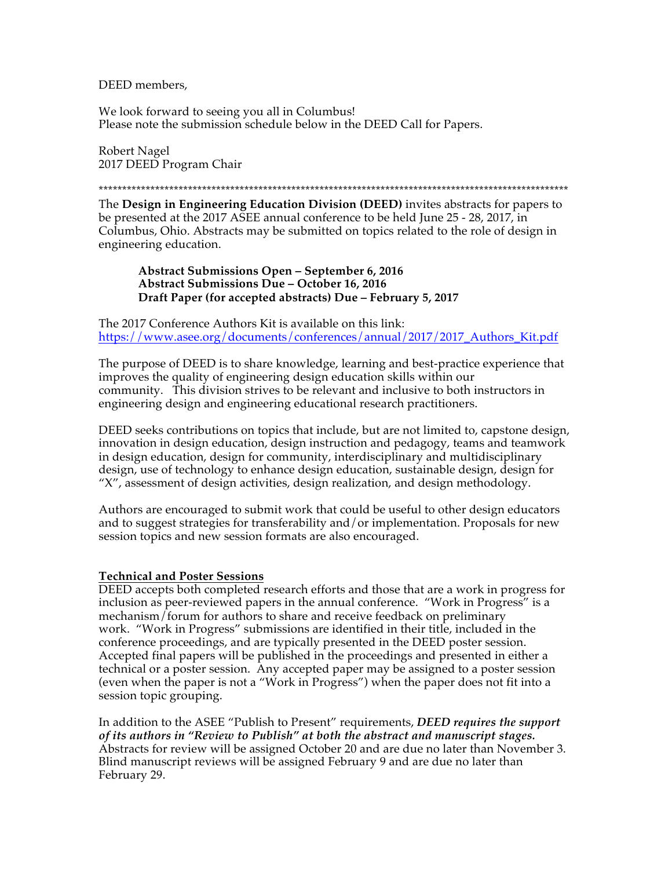## DEED members,

We look forward to seeing you all in Columbus! Please note the submission schedule below in the DEED Call for Papers.

Robert Nagel 2017 DEED Program Chair

\*\*\*\*\*\*\*\*\*\*\*\*\*\*\*\*\*\*\*\*\*\*\*\*\*\*\*\*\*\*\*\*\*\*\*\*\*\*\*\*\*\*\*\*\*\*\*\*\*\*\*\*\*\*\*\*\*\*\*\*\*\*\*\*\*\*\*\*\*\*\*\*\*\*\*\*\*\*\*\*\*\*\*\*\*\*\*\*\*\*\*\*\*\*\*\*\*\*\*\*

The **Design in Engineering Education Division (DEED)** invites abstracts for papers to be presented at the 2017 ASEE annual conference to be held June 25 - 28, 2017, in Columbus, Ohio. Abstracts may be submitted on topics related to the role of design in engineering education.

**Abstract Submissions Open – September 6, 2016 Abstract Submissions Due – October 16, 2016 Draft Paper (for accepted abstracts) Due – February 5, 2017**

The 2017 Conference Authors Kit is available on this link: https://www.asee.org/documents/conferences/annual/2017/2017\_Authors\_Kit.pdf

The purpose of DEED is to share knowledge, learning and best-practice experience that improves the quality of engineering design education skills within our community. This division strives to be relevant and inclusive to both instructors in engineering design and engineering educational research practitioners.

DEED seeks contributions on topics that include, but are not limited to, capstone design, innovation in design education, design instruction and pedagogy, teams and teamwork in design education, design for community, interdisciplinary and multidisciplinary design, use of technology to enhance design education, sustainable design, design for "X", assessment of design activities, design realization, and design methodology.

Authors are encouraged to submit work that could be useful to other design educators and to suggest strategies for transferability and/or implementation. Proposals for new session topics and new session formats are also encouraged.

## **Technical and Poster Sessions**

DEED accepts both completed research efforts and those that are a work in progress for inclusion as peer-reviewed papers in the annual conference. "Work in Progress" is a mechanism/forum for authors to share and receive feedback on preliminary work. "Work in Progress" submissions are identified in their title, included in the conference proceedings, and are typically presented in the DEED poster session. Accepted final papers will be published in the proceedings and presented in either a technical or a poster session. Any accepted paper may be assigned to a poster session (even when the paper is not a "Work in Progress") when the paper does not fit into a session topic grouping.

In addition to the ASEE "Publish to Present" requirements, *DEED requires the support of its authors in "Review to Publish" at both the abstract and manuscript stages.*  Abstracts for review will be assigned October 20 and are due no later than November 3. Blind manuscript reviews will be assigned February 9 and are due no later than February 29.